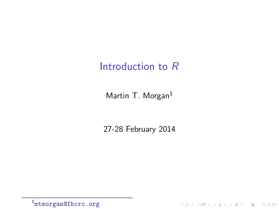#### Introduction to R

Martin T. Morgan<sup>1</sup>

27-28 February 2014

K ロ X ( d ) X 등 X X 등 X ( 등 ) - 이익어

1 <mtmorgan@fhcrc.org>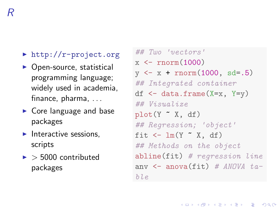- $\blacktriangleright$  <http://r-project.org>
- $\triangleright$  Open-source, statistical programming language; widely used in academia, finance, pharma, . . .
- $\triangleright$  Core language and base packages
- $\blacktriangleright$  Interactive sessions. scripts
- $\blacktriangleright$  > 5000 contributed packages

## Two 'vectors'  $x \leftarrow \text{rnorm}(1000)$  $y \leftarrow x + \text{rnorm}(1000, \text{ sd} = .5)$ ## Integrated container df  $\leq$  data.frame(X=x, Y=y)  $#H$  Visualize  $plot(Y \text{ x}, df)$ ## Regression; 'object' fit  $\leftarrow \text{lm}(Y \text{ X}, df)$ ## Methods on the object abline(fit) # regression line anv  $\leq$  anova(fit) # ANOVA table

**KOD KAD KED KED DRA**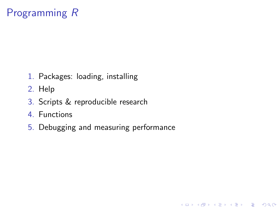# Programming R

- 1. Packages: loading, installing
- 2. Help
- 3. Scripts & reproducible research
- 4. Functions
- 5. Debugging and measuring performance

K ロ ▶ K 個 ▶ K 할 ▶ K 할 ▶ 이 할 → 9 Q Q →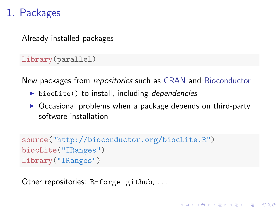## 1. Packages

Already installed packages

library(parallel)

New packages from repositories such as [CRAN](http://cran.r-project.org) and [Bioconductor](http://bioconductor.org/)

- biocLite() to install, including dependencies
- $\triangleright$  Occasional problems when a package depends on third-party software installation

**KORKARA REPASA DA VOCA** 

```
source("http://bioconductor.org/biocLite.R")
biocLite("IRanges")
library("IRanges")
```
Other repositories: R-forge, github, ...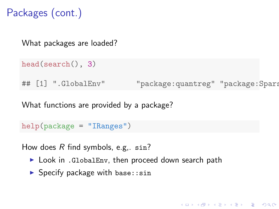Packages (cont.)

What packages are loaded?

```
head(search(), 3)
```
## [1] ".GlobalEnv" "package:quantreg" "package:Spars

What functions are provided by a package?

help(package = "IRanges")

How does  $R$  find symbols, e.g.,  $sin?$ 

- ▶ Look in .GlobalEnv, then proceed down search path
- $\blacktriangleright$  Specify package with base: : sin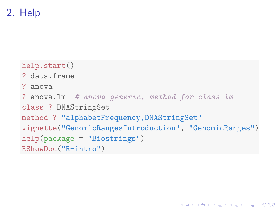2. Help

```
help.start()
? data.frame
? anova
? anova.lm # anova generic, method for class lm
class ? DNAStringSet
method ? "alphabetFrequency,DNAStringSet"
vignette("GenomicRangesIntroduction", "GenomicRanges")
help(package = "Biostrings")
RShowDoc("R-intro")
```
**KOD KAD KED KED DRA**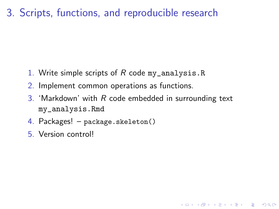## 3. Scripts, functions, and reproducible research

- 1. Write simple scripts of  $R$  code my\_analysis.R
- 2. Implement common operations as functions.
- 3. 'Markdown' with  $R$  code embedded in surrounding text my\_analysis.Rmd

- 4. Packages! package.skeleton()
- 5. Version control!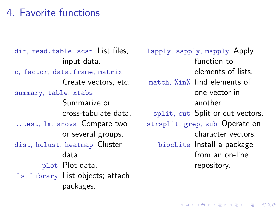### 4. Favorite functions

dir, read.table, scan List files; input data. c, factor, data.frame, matrix Create vectors, etc. summary, table, xtabs Summarize or cross-tabulate data. t.test, lm, anova Compare two or several groups. dist, hclust, heatmap Cluster data. plot Plot data. ls, library List objects; attach packages.

lapply, sapply, mapply Apply function to elements of lists. match, %in% find elements of one vector in another. split, cut Split or cut vectors. strsplit, grep, sub Operate on character vectors. biocLite Install a package from an on-line repository.

**KORKARA REPASA DA VOCA**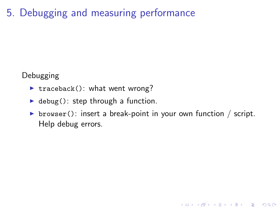# 5. Debugging and measuring performance

Debugging

- $\triangleright$  traceback(): what went wrong?
- $\blacktriangleright$  debug(): step through a function.
- riation browser(): insert a break-point in your own function  $/$  script. Help debug errors.

**KOD KAD KED KED DRA**